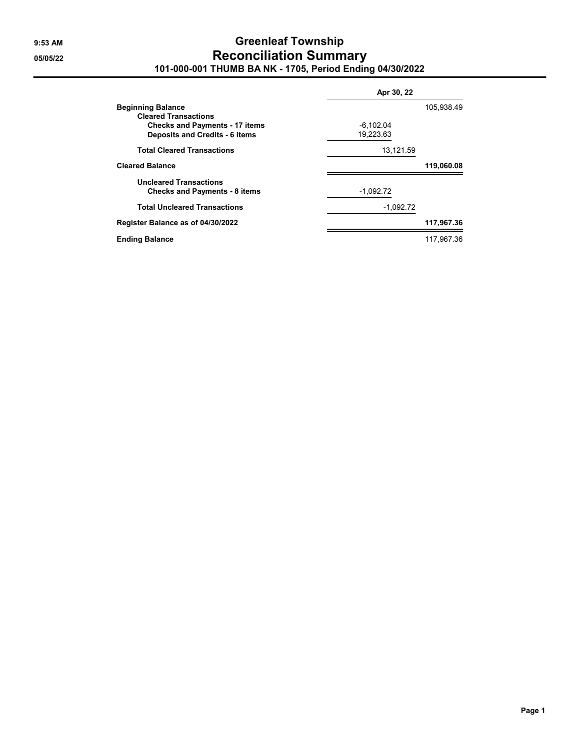## **9:53 AM Greenleaf Township 05/05/22 Reconciliation Summary 101-000-001 THUMB BA NK - 1705, Period Ending 04/30/2022**

|                                       | Apr 30, 22  |            |  |
|---------------------------------------|-------------|------------|--|
| <b>Beginning Balance</b>              |             | 105,938.49 |  |
| <b>Cleared Transactions</b>           |             |            |  |
| <b>Checks and Payments - 17 items</b> | $-6,102.04$ |            |  |
| <b>Deposits and Credits - 6 items</b> | 19,223.63   |            |  |
| <b>Total Cleared Transactions</b>     | 13,121.59   |            |  |
| <b>Cleared Balance</b>                |             | 119,060.08 |  |
| <b>Uncleared Transactions</b>         |             |            |  |
| <b>Checks and Payments - 8 items</b>  | $-1,092.72$ |            |  |
| <b>Total Uncleared Transactions</b>   | $-1,092.72$ |            |  |
| Register Balance as of 04/30/2022     |             | 117,967.36 |  |
| <b>Ending Balance</b>                 |             | 117.967.36 |  |

**Page 1**